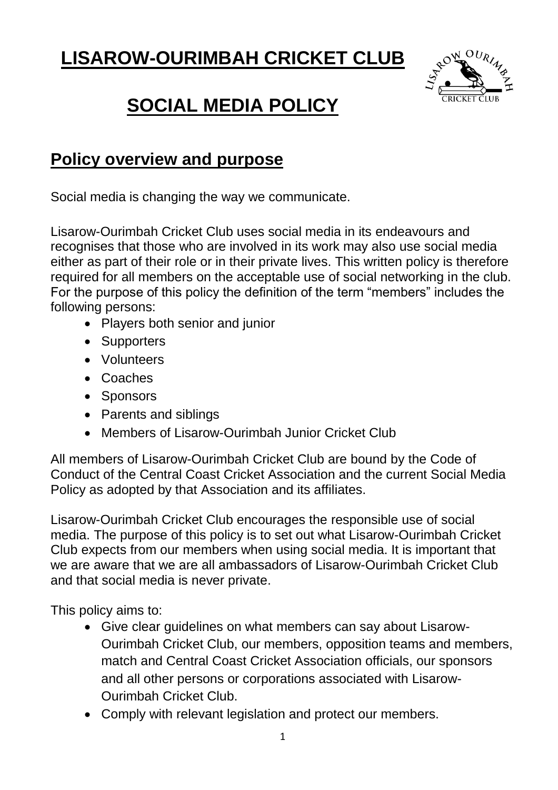# **LISAROW-OURIMBAH CRICKET CLUB**



# **SOCIAL MEDIA POLICY**

# **Policy overview and purpose**

Social media is changing the way we communicate.

Lisarow-Ourimbah Cricket Club uses social media in its endeavours and recognises that those who are involved in its work may also use social media either as part of their role or in their private lives. This written policy is therefore required for all members on the acceptable use of social networking in the club. For the purpose of this policy the definition of the term "members" includes the following persons:

- Players both senior and junior
- Supporters
- Volunteers
- Coaches
- Sponsors
- Parents and siblings
- Members of Lisarow-Ourimbah Junior Cricket Club

All members of Lisarow-Ourimbah Cricket Club are bound by the Code of Conduct of the Central Coast Cricket Association and the current Social Media Policy as adopted by that Association and its affiliates.

Lisarow-Ourimbah Cricket Club encourages the responsible use of social media. The purpose of this policy is to set out what Lisarow-Ourimbah Cricket Club expects from our members when using social media. It is important that we are aware that we are all ambassadors of Lisarow-Ourimbah Cricket Club and that social media is never private.

This policy aims to:

- Give clear guidelines on what members can say about Lisarow-Ourimbah Cricket Club, our members, opposition teams and members, match and Central Coast Cricket Association officials, our sponsors and all other persons or corporations associated with Lisarow-Ourimbah Cricket Club.
- Comply with relevant legislation and protect our members.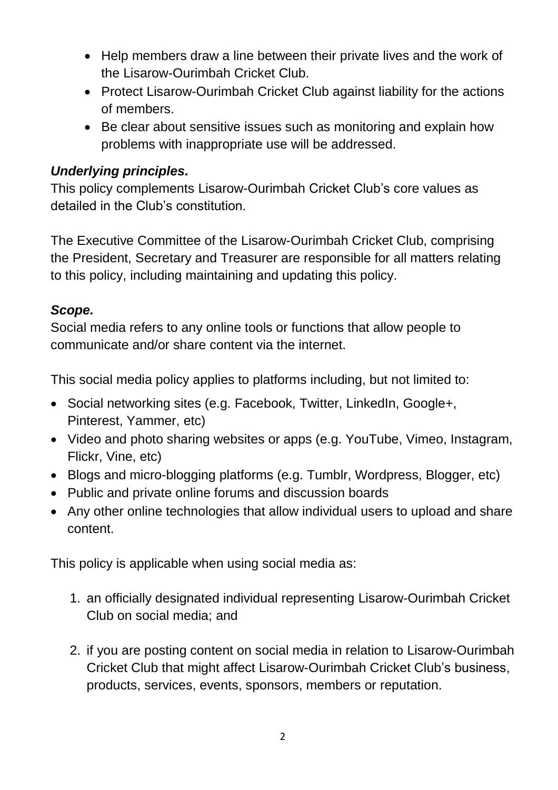- Help members draw a line between their private lives and the work of the Lisarow-Ourimbah Cricket Club.
- Protect Lisarow-Ourimbah Cricket Club against liability for the actions of members.
- Be clear about sensitive issues such as monitoring and explain how problems with inappropriate use will be addressed.

#### *Underlying principles.*

This policy complements Lisarow-Ourimbah Cricket Club's core values as detailed in the Club's constitution.

The Executive Committee of the Lisarow-Ourimbah Cricket Club, comprising the President, Secretary and Treasurer are responsible for all matters relating to this policy, including maintaining and updating this policy.

#### *Scope.*

Social media refers to any online tools or functions that allow people to communicate and/or share content via the internet.

This social media policy applies to platforms including, but not limited to:

- Social networking sites (e.g. Facebook, Twitter, LinkedIn, Google+, Pinterest, Yammer, etc)
- Video and photo sharing websites or apps (e.g. YouTube, Vimeo, Instagram, Flickr, Vine, etc)
- Blogs and micro-blogging platforms (e.g. Tumblr, Wordpress, Blogger, etc)
- Public and private online forums and discussion boards
- Any other online technologies that allow individual users to upload and share content.

This policy is applicable when using social media as:

- 1. an officially designated individual representing Lisarow-Ourimbah Cricket Club on social media; and
- 2. if you are posting content on social media in relation to Lisarow-Ourimbah Cricket Club that might affect Lisarow-Ourimbah Cricket Club's business, products, services, events, sponsors, members or reputation.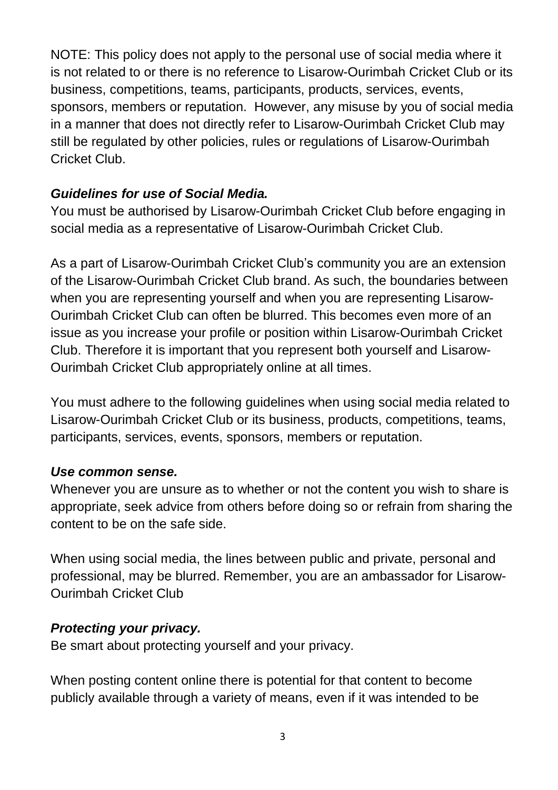NOTE: This policy does not apply to the personal use of social media where it is not related to or there is no reference to Lisarow-Ourimbah Cricket Club or its business, competitions, teams, participants, products, services, events, sponsors, members or reputation. However, any misuse by you of social media in a manner that does not directly refer to Lisarow-Ourimbah Cricket Club may still be regulated by other policies, rules or regulations of Lisarow-Ourimbah Cricket Club.

#### *Guidelines for use of Social Media.*

You must be authorised by Lisarow-Ourimbah Cricket Club before engaging in social media as a representative of Lisarow-Ourimbah Cricket Club.

As a part of Lisarow-Ourimbah Cricket Club's community you are an extension of the Lisarow-Ourimbah Cricket Club brand. As such, the boundaries between when you are representing yourself and when you are representing Lisarow-Ourimbah Cricket Club can often be blurred. This becomes even more of an issue as you increase your profile or position within Lisarow-Ourimbah Cricket Club. Therefore it is important that you represent both yourself and Lisarow-Ourimbah Cricket Club appropriately online at all times.

You must adhere to the following guidelines when using social media related to Lisarow-Ourimbah Cricket Club or its business, products, competitions, teams, participants, services, events, sponsors, members or reputation.

#### *Use common sense.*

Whenever you are unsure as to whether or not the content you wish to share is appropriate, seek advice from others before doing so or refrain from sharing the content to be on the safe side.

When using social media, the lines between public and private, personal and professional, may be blurred. Remember, you are an ambassador for Lisarow-Ourimbah Cricket Club

#### *Protecting your privacy.*

Be smart about protecting yourself and your privacy.

When posting content online there is potential for that content to become publicly available through a variety of means, even if it was intended to be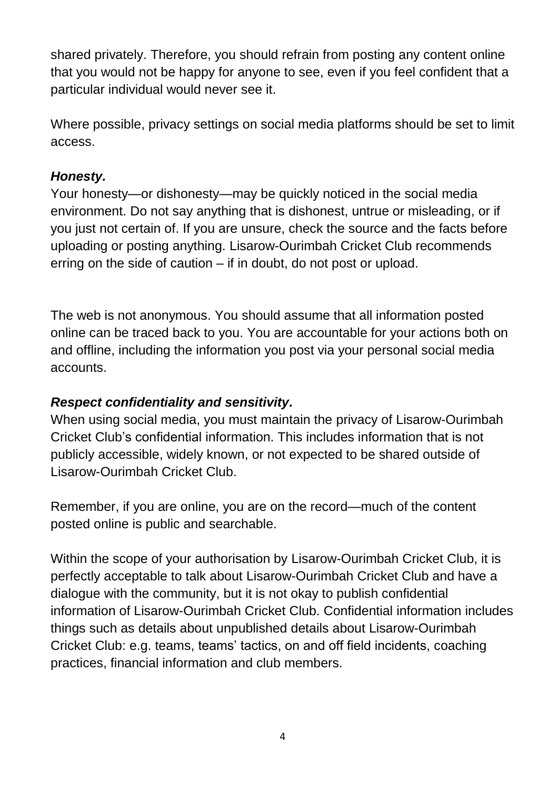shared privately. Therefore, you should refrain from posting any content online that you would not be happy for anyone to see, even if you feel confident that a particular individual would never see it.

Where possible, privacy settings on social media platforms should be set to limit access.

#### *Honesty.*

Your honesty—or dishonesty—may be quickly noticed in the social media environment. Do not say anything that is dishonest, untrue or misleading, or if you just not certain of. If you are unsure, check the source and the facts before uploading or posting anything. Lisarow-Ourimbah Cricket Club recommends erring on the side of caution – if in doubt, do not post or upload.

The web is not anonymous. You should assume that all information posted online can be traced back to you. You are accountable for your actions both on and offline, including the information you post via your personal social media accounts.

#### *Respect confidentiality and sensitivity.*

When using social media, you must maintain the privacy of Lisarow-Ourimbah Cricket Club's confidential information. This includes information that is not publicly accessible, widely known, or not expected to be shared outside of Lisarow-Ourimbah Cricket Club.

Remember, if you are online, you are on the record—much of the content posted online is public and searchable.

Within the scope of your authorisation by Lisarow-Ourimbah Cricket Club, it is perfectly acceptable to talk about Lisarow-Ourimbah Cricket Club and have a dialogue with the community, but it is not okay to publish confidential information of Lisarow-Ourimbah Cricket Club. Confidential information includes things such as details about unpublished details about Lisarow-Ourimbah Cricket Club: e.g. teams, teams' tactics, on and off field incidents, coaching practices, financial information and club members.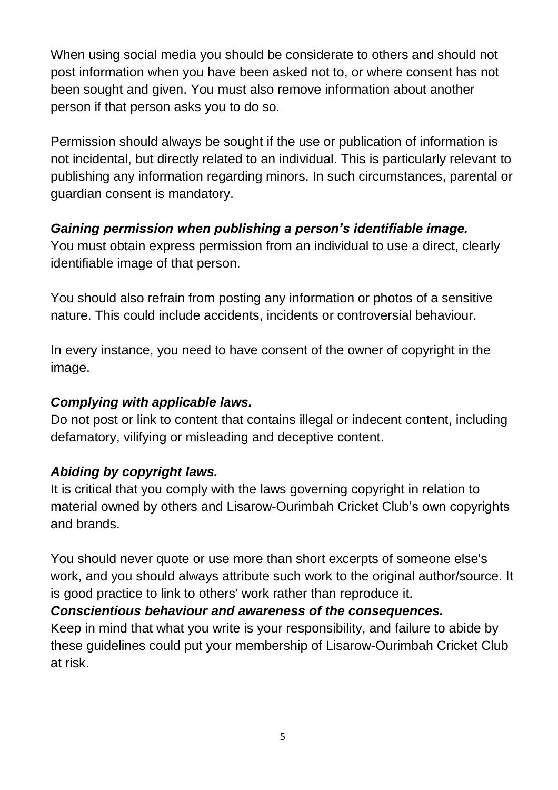When using social media you should be considerate to others and should not post information when you have been asked not to, or where consent has not been sought and given. You must also remove information about another person if that person asks you to do so.

Permission should always be sought if the use or publication of information is not incidental, but directly related to an individual. This is particularly relevant to publishing any information regarding minors. In such circumstances, parental or guardian consent is mandatory.

#### *Gaining permission when publishing a person's identifiable image.*

You must obtain express permission from an individual to use a direct, clearly identifiable image of that person.

You should also refrain from posting any information or photos of a sensitive nature. This could include accidents, incidents or controversial behaviour.

In every instance, you need to have consent of the owner of copyright in the image.

# *Complying with applicable laws.*

Do not post or link to content that contains illegal or indecent content, including defamatory, vilifying or misleading and deceptive content.

# *Abiding by copyright laws.*

It is critical that you comply with the laws governing copyright in relation to material owned by others and Lisarow-Ourimbah Cricket Club's own copyrights and brands.

You should never quote or use more than short excerpts of someone else's work, and you should always attribute such work to the original author/source. It is good practice to link to others' work rather than reproduce it.

# *Conscientious behaviour and awareness of the consequences.*

Keep in mind that what you write is your responsibility, and failure to abide by these guidelines could put your membership of Lisarow-Ourimbah Cricket Club at risk.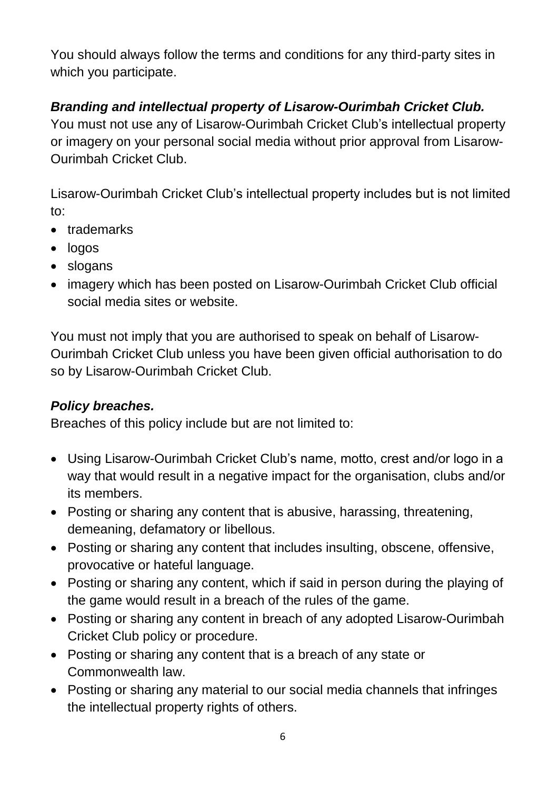You should always follow the terms and conditions for any third-party sites in which you participate.

# *Branding and intellectual property of Lisarow-Ourimbah Cricket Club.*

You must not use any of Lisarow-Ourimbah Cricket Club's intellectual property or imagery on your personal social media without prior approval from Lisarow-Ourimbah Cricket Club.

Lisarow-Ourimbah Cricket Club's intellectual property includes but is not limited to:

- trademarks
- logos
- slogans
- imagery which has been posted on Lisarow-Ourimbah Cricket Club official social media sites or website.

You must not imply that you are authorised to speak on behalf of Lisarow-Ourimbah Cricket Club unless you have been given official authorisation to do so by Lisarow-Ourimbah Cricket Club.

# *Policy breaches.*

Breaches of this policy include but are not limited to:

- Using Lisarow-Ourimbah Cricket Club's name, motto, crest and/or logo in a way that would result in a negative impact for the organisation, clubs and/or its members.
- Posting or sharing any content that is abusive, harassing, threatening, demeaning, defamatory or libellous.
- Posting or sharing any content that includes insulting, obscene, offensive, provocative or hateful language.
- Posting or sharing any content, which if said in person during the playing of the game would result in a breach of the rules of the game.
- Posting or sharing any content in breach of any adopted Lisarow-Ourimbah Cricket Club policy or procedure.
- Posting or sharing any content that is a breach of any state or Commonwealth law.
- Posting or sharing any material to our social media channels that infringes the intellectual property rights of others.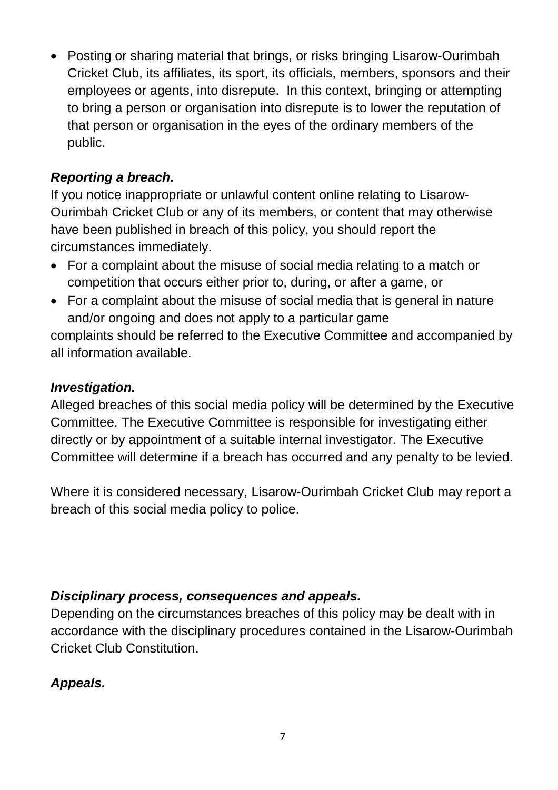Posting or sharing material that brings, or risks bringing Lisarow-Ourimbah Cricket Club, its affiliates, its sport, its officials, members, sponsors and their employees or agents, into disrepute. In this context, bringing or attempting to bring a person or organisation into disrepute is to lower the reputation of that person or organisation in the eyes of the ordinary members of the public.

### *Reporting a breach.*

If you notice inappropriate or unlawful content online relating to Lisarow-Ourimbah Cricket Club or any of its members, or content that may otherwise have been published in breach of this policy, you should report the circumstances immediately.

- For a complaint about the misuse of social media relating to a match or competition that occurs either prior to, during, or after a game, or
- For a complaint about the misuse of social media that is general in nature and/or ongoing and does not apply to a particular game complaints should be referred to the Executive Committee and accompanied by all information available.

#### *Investigation.*

Alleged breaches of this social media policy will be determined by the Executive Committee. The Executive Committee is responsible for investigating either directly or by appointment of a suitable internal investigator. The Executive Committee will determine if a breach has occurred and any penalty to be levied.

Where it is considered necessary, Lisarow-Ourimbah Cricket Club may report a breach of this social media policy to police.

#### *Disciplinary process, consequences and appeals.*

Depending on the circumstances breaches of this policy may be dealt with in accordance with the disciplinary procedures contained in the Lisarow-Ourimbah Cricket Club Constitution.

# *Appeals.*